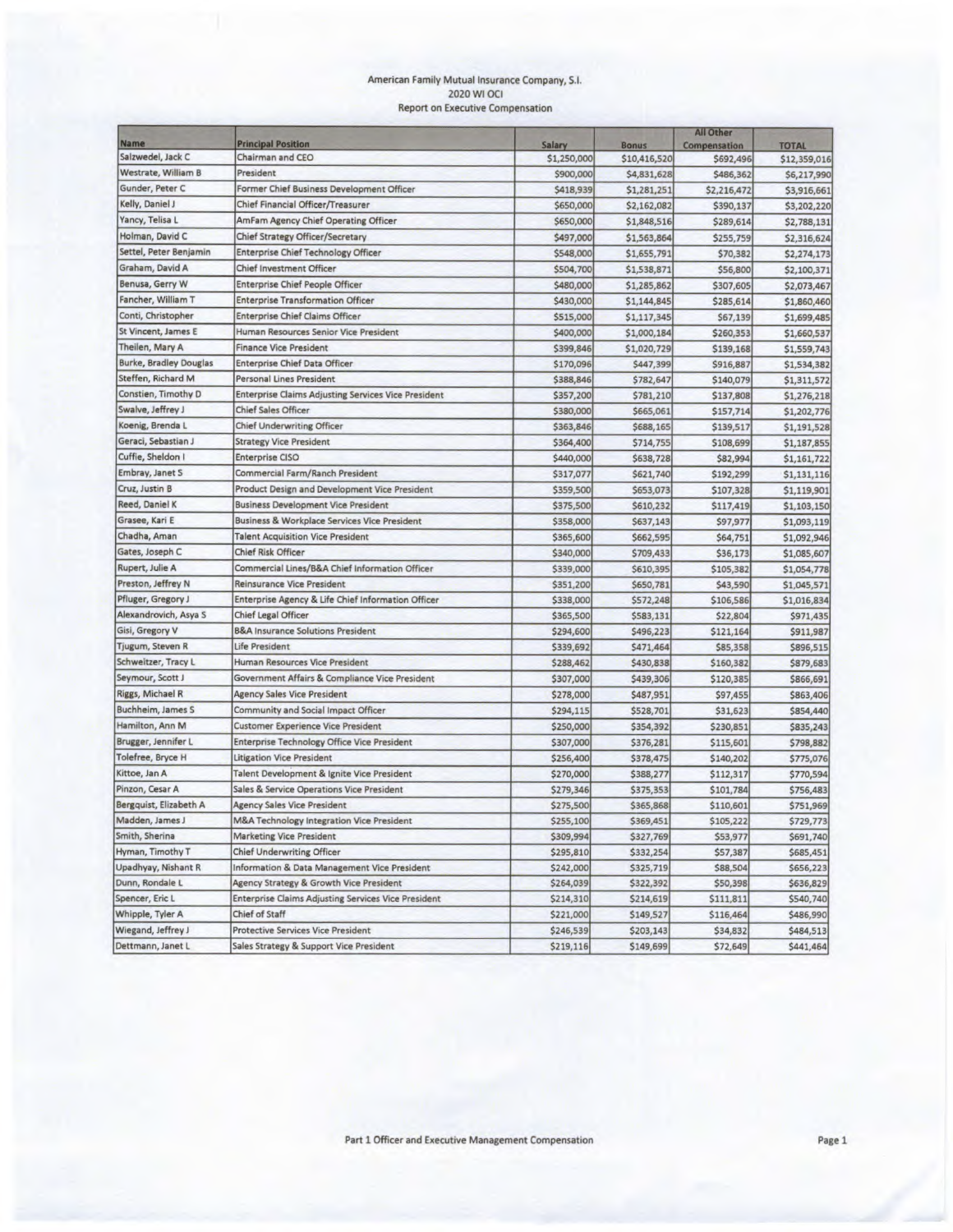#### American Family Mutual Insurance Company, S.I. 2020 WI OCI Report on Executive Compensation

|                               |                                                            |               |              | All Other    |              |
|-------------------------------|------------------------------------------------------------|---------------|--------------|--------------|--------------|
| <b>Name</b>                   | <b>Principal Position</b>                                  | <b>Salary</b> | <b>Bonus</b> | Compensation | <b>TOTAL</b> |
| Salzwedel, Jack C             | Chairman and CEO                                           | \$1,250,000   | \$10,416,520 | \$692,496    | \$12,359,016 |
| Westrate, William B           | President                                                  | \$900,000     | \$4,831,628  | \$486,362    | \$6,217,990  |
| Gunder, Peter C               | Former Chief Business Development Officer                  | \$418,939     | \$1,281,251  | \$2,216,472  | \$3,916,661  |
| Kelly, Daniel J               | Chief Financial Officer/Treasurer                          | \$650,000     | \$2,162,082  | \$390,137    | \$3,202,220  |
| Yancy, Telisa L               | AmFam Agency Chief Operating Officer                       | \$650,000     | \$1,848,516  | \$289,614    | \$2,788,131  |
| Holman, David C               | Chief Strategy Officer/Secretary                           | \$497,000     | \$1,563,864  | \$255,759    | \$2,316,624  |
| Settel, Peter Benjamin        | <b>Enterprise Chief Technology Officer</b>                 | \$548,000     | \$1,655,791  | \$70,382     | \$2,274,173  |
| Graham, David A               | <b>Chief Investment Officer</b>                            | \$504,700     | \$1,538,871  | \$56,800     | \$2,100,371  |
| Benusa, Gerry W               | <b>Enterprise Chief People Officer</b>                     | \$480,000     | \$1,285,862  | \$307,605    | \$2,073,467  |
| Fancher, William T            | <b>Enterprise Transformation Officer</b>                   | \$430,000     | \$1,144,845  | \$285,614    | \$1,860,460  |
| Conti, Christopher            | <b>Enterprise Chief Claims Officer</b>                     | \$515,000     | \$1,117,345  | \$67,139     | \$1,699,485  |
| St Vincent, James E           | Human Resources Senior Vice President                      | \$400,000     | \$1,000,184  | \$260,353    | \$1,660,537  |
| Theilen, Mary A               | <b>Finance Vice President</b>                              | \$399,846     | \$1,020,729  | \$139,168    | \$1,559,743  |
| <b>Burke, Bradley Douglas</b> | <b>Enterprise Chief Data Officer</b>                       | \$170,096     | \$447,399    | \$916,887    | \$1,534,382  |
| Steffen, Richard M            | <b>Personal Lines President</b>                            | \$388,846     | \$782,647    | \$140,079    | \$1,311,572  |
| Constien, Timothy D           | <b>Enterprise Claims Adjusting Services Vice President</b> | \$357,200     | \$781,210    | \$137,808    | \$1,276,218  |
| Swalve, Jeffrey J             | <b>Chief Sales Officer</b>                                 | \$380,000     | \$665,061    | \$157,714    | \$1,202,776  |
| Koenig, Brenda L              | <b>Chief Underwriting Officer</b>                          | \$363,846     | \$688,165    | \$139,517    | \$1,191,528  |
| Geraci, Sebastian J           | <b>Strategy Vice President</b>                             | \$364,400     | \$714,755    | \$108,699    | \$1,187,855  |
| Cuffie, Sheldon I             | <b>Enterprise CISO</b>                                     | \$440,000     | \$638,728    | \$82,994     | \$1,161,722  |
| Embray, Janet S               | Commercial Farm/Ranch President                            | \$317,077     | \$621,740    | \$192,299    | \$1,131,116  |
| Cruz, Justin B                | Product Design and Development Vice President              | \$359,500     | \$653,073    | \$107,328    | \$1,119,901  |
| Reed, Daniel K                | <b>Business Development Vice President</b>                 | \$375,500     | \$610,232    | \$117,419    | \$1,103,150  |
| Grasee, Kari E                | Business & Workplace Services Vice President               | \$358,000     | \$637,143    | \$97,977     | \$1,093,119  |
| Chadha, Aman                  | <b>Talent Acquisition Vice President</b>                   | \$365,600     | \$662,595    | \$64,751     | \$1,092,946  |
| Gates, Joseph C               | <b>Chief Risk Officer</b>                                  | \$340,000     | \$709,433    | \$36,173     | \$1,085,607  |
| Rupert, Julie A               | Commercial Lines/B&A Chief Information Officer             | \$339,000     | \$610,395    | \$105,382    | \$1,054,778  |
| Preston, Jeffrey N            | <b>Reinsurance Vice President</b>                          | \$351,200     | \$650,781    | \$43,590     | \$1,045,571  |
| Pfluger, Gregory J            | Enterprise Agency & Life Chief Information Officer         | \$338,000     | \$572,248    | \$106,586    | \$1,016,834  |
| Alexandrovich, Asya S         | <b>Chief Legal Officer</b>                                 | \$365,500     | \$583,131    | \$22,804     | \$971,435    |
| Gisi, Gregory V               | <b>B&amp;A Insurance Solutions President</b>               | \$294,600     | \$496,223    | \$121,164    | \$911,987    |
| Tjugum, Steven R              | <b>Life President</b>                                      | \$339,692     | \$471,464    | \$85,358     | \$896,515    |
| Schweitzer, Tracy L           | Human Resources Vice President                             | \$288,462     | \$430,838    | \$160,382    | \$879,683    |
| Seymour, Scott J              | Government Affairs & Compliance Vice President             | \$307,000     | \$439,306    | \$120,385    | \$866,691    |
| Riggs, Michael R              | <b>Agency Sales Vice President</b>                         | \$278,000     | \$487,951    | \$97,455     | \$863,406    |
| Buchheim, James S             | <b>Community and Social Impact Officer</b>                 | \$294,115     | \$528,701    | \$31,623     | \$854,440    |
| Hamilton, Ann M               | <b>Customer Experience Vice President</b>                  | \$250,000     | \$354,392    | \$230,851    | \$835,243    |
| Brugger, Jennifer L           | Enterprise Technology Office Vice President                | \$307,000     | \$376,281    | \$115,601    | \$798,882    |
| Tolefree, Bryce H             | <b>Litigation Vice President</b>                           | \$256,400     | \$378,475    | \$140,202    | \$775,076    |
| Kittoe, Jan A                 | Talent Development & Ignite Vice President                 | \$270,000     | \$388,277    | \$112,317    | \$770,594    |
| Pinzon, Cesar A               | Sales & Service Operations Vice President                  | \$279,346     | \$375,353    | \$101,784    | \$756,483    |
| Bergquist, Elizabeth A        | <b>Agency Sales Vice President</b>                         | \$275,500     | \$365,868    | \$110,601    | \$751,969    |
| Madden, James J               | <b>M&amp;A Technology Integration Vice President</b>       | \$255,100     | \$369,451    | \$105,222    | \$729,773    |
| Smith, Sherina                | <b>Marketing Vice President</b>                            | \$309,994     | \$327,769    | \$53,977     | \$691,740    |
| Hyman, Timothy T              | <b>Chief Underwriting Officer</b>                          | \$295,810     | \$332,254    | \$57,387     | \$685,451    |
| Upadhyay, Nishant R           | Information & Data Management Vice President               | \$242,000     | \$325,719    | \$88,504     | \$656,223    |
| Dunn, Rondale L               | Agency Strategy & Growth Vice President                    | \$264,039     | \$322,392    | \$50,398     | \$636,829    |
| Spencer, Eric L               | <b>Enterprise Claims Adjusting Services Vice President</b> | \$214,310     | \$214,619    | \$111,811    | \$540,740    |
| Whipple, Tyler A              | Chief of Staff                                             | \$221,000     | \$149,527    | \$116,464    | \$486,990    |
| Wiegand, Jeffrey J            | <b>Protective Services Vice President</b>                  | \$246,539     | \$203,143    | \$34,832     | \$484,513    |
| Dettmann, Janet L             | Sales Strategy & Support Vice President                    |               |              | \$72,649     | \$441,464    |
|                               |                                                            | \$219,116     | \$149,699    |              |              |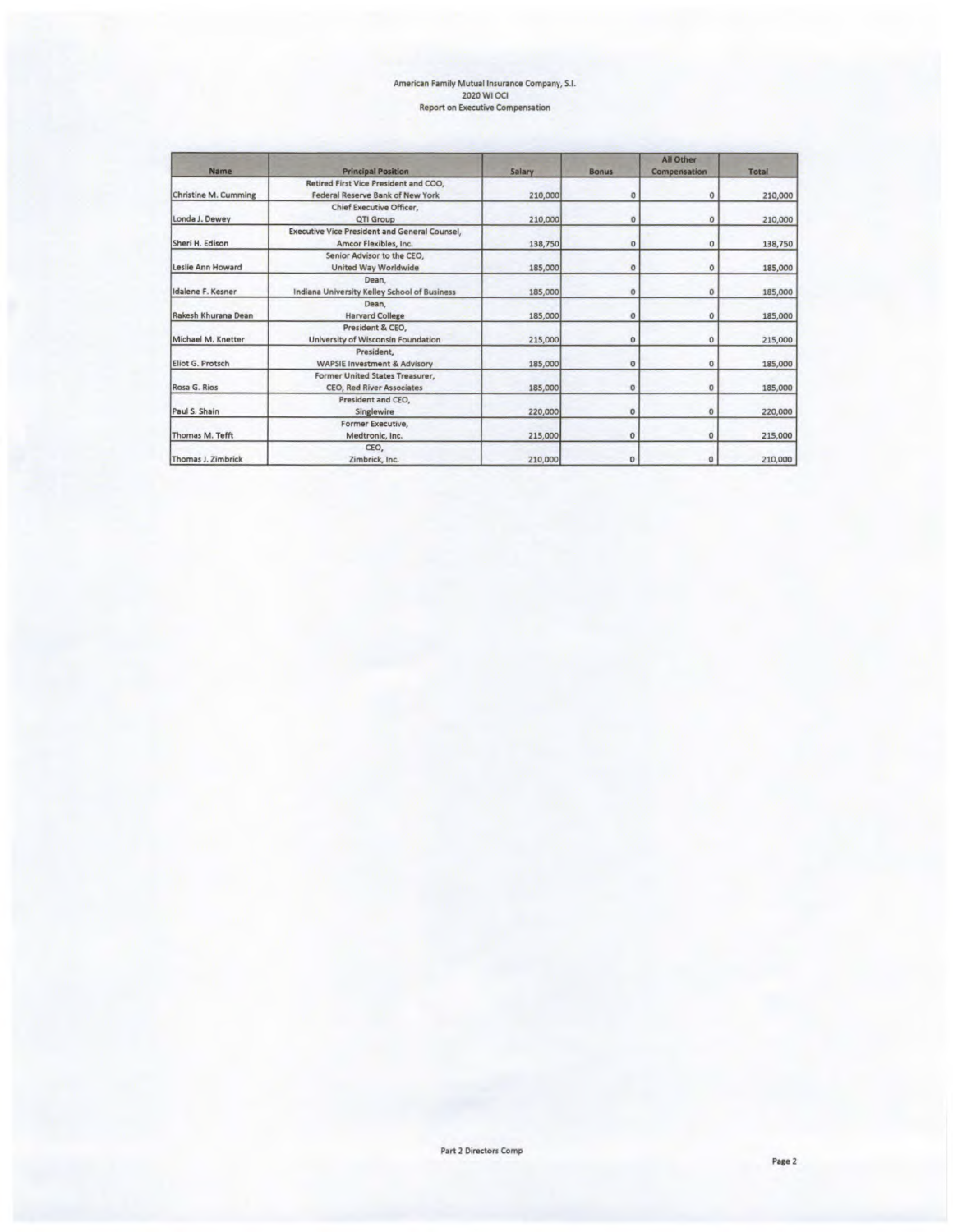# American Family Mutual Insurance Company, SI. 2020 WI OCI Report on Executive Compensation

| <b>Name</b>          | <b>Principal Position</b>                                                     | Salary  | <b>Bonus</b> | All Other<br>Compensation | <b>Total</b> |  |
|----------------------|-------------------------------------------------------------------------------|---------|--------------|---------------------------|--------------|--|
| Christine M. Cumming | Retired First Vice President and COO,<br>Federal Reserve Bank of New York     | 210,000 | o            | 0                         | 210,000      |  |
| Londa J. Dewey       | <b>Chief Executive Officer.</b><br>QTI Group                                  | 210,000 | $\mathbf{0}$ | 0                         | 210,000      |  |
| Sheri H. Edison      | <b>Executive Vice President and General Counsel,</b><br>Amcor Flexibles, Inc. | 138,750 | 0            | 0                         | 138,750      |  |
| Leslie Ann Howard    | Senior Advisor to the CEO,<br><b>United Way Worldwide</b>                     | 185,000 | $\circ$      | $\circ$                   | 185,000      |  |
| Idalene F. Kesner    | Dean.<br>Indiana University Kelley School of Business                         | 185,000 | 0            | $\Omega$                  | 185,000      |  |
| Rakesh Khurana Dean  | Dean.<br><b>Harvard College</b>                                               | 185,000 | $\Omega$     | $\mathbf 0$               | 185,000      |  |
| Michael M. Knetter   | President & CEO.<br>University of Wisconsin Foundation                        | 215,000 | 0            | $\circ$                   | 215,000      |  |
| Eliot G. Protsch     | President.<br><b>WAPSIE Investment &amp; Advisory</b>                         | 185,000 | $\mathbf{0}$ | $\circ$                   | 185,000      |  |
| Rosa G. Rios         | Former United States Treasurer,<br><b>CEO, Red River Associates</b>           | 185,000 | 0            | $\circ$                   | 185,000      |  |
| Paul S. Shain        | President and CEO.<br><b>Singlewire</b>                                       | 220,000 | 0            | $\circ$                   | 220,000      |  |
| Thomas M. Tefft      | Former Executive,<br>Medtronic, Inc.                                          | 215,000 | 0            | $\Omega$                  | 215,000      |  |
| Thomas J. Zimbrick   | CEO,<br>Zimbrick, Inc.                                                        | 210,000 | O            | $\Omega$                  | 210,000      |  |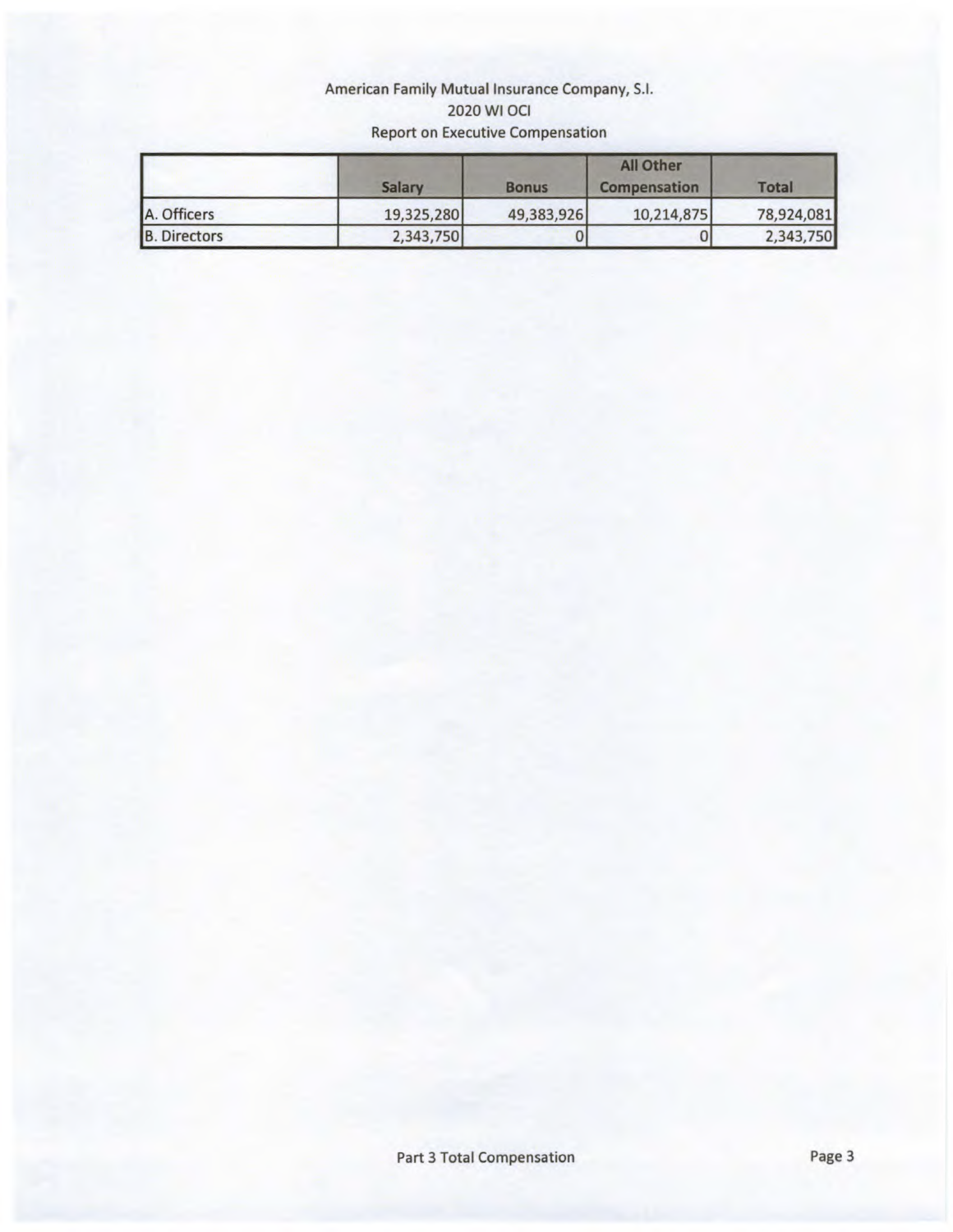# American Family Mutual Insurance Company, S.I. 2020 WI OCI Report on Executive Compensation

|                     | Salary     | <b>Bonus</b> | All Other<br>Compensation | <b>Total</b> |  |
|---------------------|------------|--------------|---------------------------|--------------|--|
| A. Officers         | 19,325,280 | 49,383,926   | 10,214,875                | 78,924,081   |  |
| <b>B.</b> Directors | 2,343,750  |              | υ                         | 2,343,750    |  |